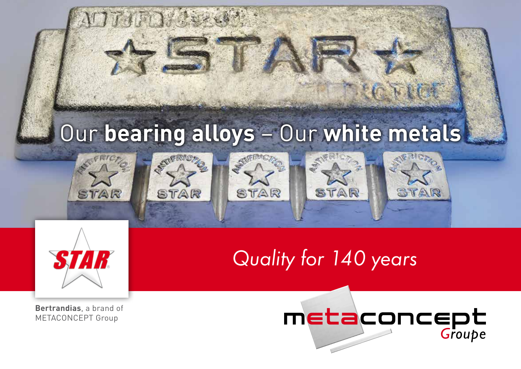

**Bertrandias**, a brand of METACONCEPT Group

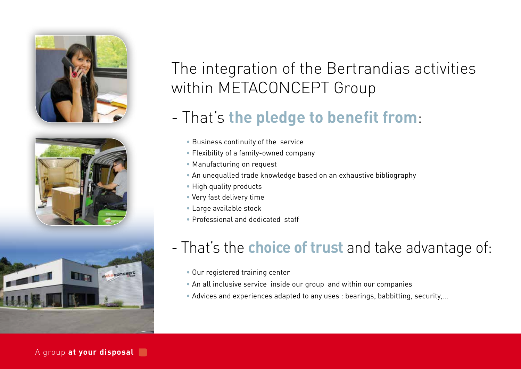





# The integration of the Bertrandias activities within METACONCEPT Group

## - That's **the pledge to benefit from**:

- Business continuity of the service
- Flexibility of a family-owned company
- Manufacturing on request
- An unequalled trade knowledge based on an exhaustive bibliography
- High quality products
- Very fast delivery time
- Large available stock
- Professional and dedicated staff

## - That's the **choice of trust** and take advantage of:

- Our registered training center
- An all inclusive service inside our group and within our companies
- Advices and experiences adapted to any uses : bearings, babbitting, security,...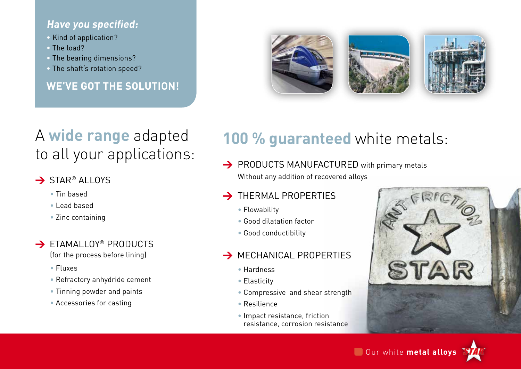### **Have you specified:**

- Kind of application?
- The load?
- The bearing dimensions?
- The shaft's rotation speed?

**WE'VE GOT THE SOLUTION!**



## A **wide range** adapted to all your applications:

### $\rightarrow$  STAR<sup>®</sup> ALLOYS

- Tin based
- Lead based
- Zinc containing

## $\rightarrow$  FTAMALLOY® PRODUCTS

- (for the process before lining)
- Fluxes
- Refractory anhydride cement
- Tinning powder and paints
- Accessories for casting

## 100 % guaranteed white metals:

> PRODUCTS MANUFACTURED with primary metals Without any addition of recovered alloys

### $\rightarrow$  THERMAL PROPERTIES

- Flowability
- Good dilatation factor
- Good conductibility

### $\rightarrow$  MECHANICAL PROPERTIES

- Hardness
- Elasticity
- Compressive and shear strength
- Resilience
- Impact resistance, friction resistance, corrosion resistance